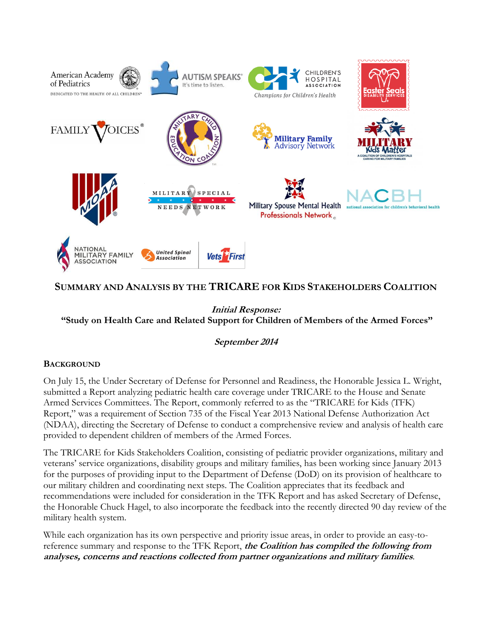

# **SUMMARY AND ANALYSIS BY THE TRICARE FOR KIDS STAKEHOLDERS COALITION**

**Initial Response: "Study on Health Care and Related Support for Children of Members of the Armed Forces"**

**September 2014**

# **BACKGROUND**

On July 15, the Under Secretary of Defense for Personnel and Readiness, the Honorable Jessica L. Wright, submitted a Report analyzing pediatric health care coverage under TRICARE to the House and Senate Armed Services Committees. The Report, commonly referred to as the "TRICARE for Kids (TFK) Report," was a requirement of Section 735 of the Fiscal Year 2013 National Defense Authorization Act (NDAA), directing the Secretary of Defense to conduct a comprehensive review and analysis of health care provided to dependent children of members of the Armed Forces.

The TRICARE for Kids Stakeholders Coalition, consisting of pediatric provider organizations, military and veterans' service organizations, disability groups and military families, has been working since January 2013 for the purposes of providing input to the Department of Defense (DoD) on its provision of healthcare to our military children and coordinating next steps. The Coalition appreciates that its feedback and recommendations were included for consideration in the TFK Report and has asked Secretary of Defense, the Honorable Chuck Hagel, to also incorporate the feedback into the recently directed 90 day review of the military health system.

While each organization has its own perspective and priority issue areas, in order to provide an easy-toreference summary and response to the TFK Report, **the Coalition has compiled the following from analyses, concerns and reactions collected from partner organizations and military families**.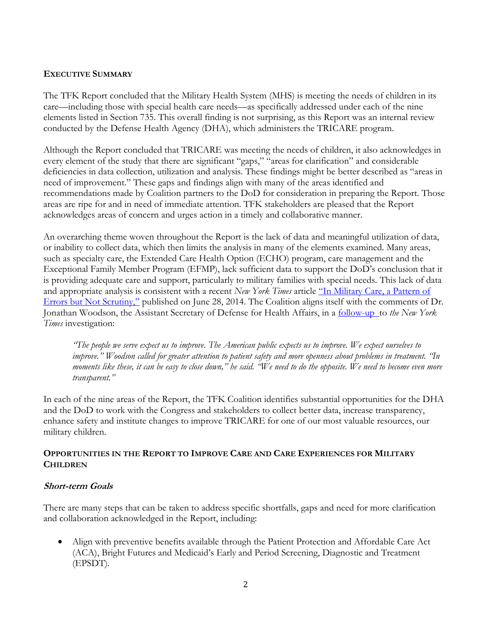# **EXECUTIVE SUMMARY**

The TFK Report concluded that the Military Health System (MHS) is meeting the needs of children in its care—including those with special health care needs—as specifically addressed under each of the nine elements listed in Section 735. This overall finding is not surprising, as this Report was an internal review conducted by the Defense Health Agency (DHA), which administers the TRICARE program.

Although the Report concluded that TRICARE was meeting the needs of children, it also acknowledges in every element of the study that there are significant "gaps," "areas for clarification" and considerable deficiencies in data collection, utilization and analysis. These findings might be better described as "areas in need of improvement." These gaps and findings align with many of the areas identified and recommendations made by Coalition partners to the DoD for consideration in preparing the Report. Those areas are ripe for and in need of immediate attention. TFK stakeholders are pleased that the Report acknowledges areas of concern and urges action in a timely and collaborative manner.

An overarching theme woven throughout the Report is the lack of data and meaningful utilization of data, or inability to collect data, which then limits the analysis in many of the elements examined. Many areas, such as specialty care, the Extended Care Health Option (ECHO) program, care management and the Exceptional Family Member Program (EFMP), lack sufficient data to support the DoD's conclusion that it is providing adequate care and support, particularly to military families with special needs. This lack of data and appropriate analysis is consistent with a recent *New York Times* article ["In Military Care, a Pattern of](http://www.nytimes.com/2014/06/29/us/in-military-care-a-pattern-of-errors-but-not-scrutiny.html?_r=0)  [Errors but Not Scrutiny](http://www.nytimes.com/2014/06/29/us/in-military-care-a-pattern-of-errors-but-not-scrutiny.html?_r=0)," published on June 28, 2014. The Coalition aligns itself with the comments of Dr. Jonathan Woodson, the Assistant Secretary of Defense for Health Affairs, in a [follow-up](http://www.nytimes.com/2014/07/01/us/official-seeks-restored-trust-in-military-care.html) to *the New York Times* investigation:

*"The people we serve expect us to improve. The American public expects us to improve. We expect ourselves to improve." Woodson called for greater attention to patient safety and more openness about problems in treatment. "In moments like these, it can be easy to close down," he said. "We need to do the opposite. We need to become even more transparent."*

In each of the nine areas of the Report, the TFK Coalition identifies substantial opportunities for the DHA and the DoD to work with the Congress and stakeholders to collect better data, increase transparency, enhance safety and institute changes to improve TRICARE for one of our most valuable resources, our military children.

# **OPPORTUNITIES IN THE REPORT TO IMPROVE CARE AND CARE EXPERIENCES FOR MILITARY CHILDREN**

# **Short-term Goals**

There are many steps that can be taken to address specific shortfalls, gaps and need for more clarification and collaboration acknowledged in the Report, including:

 Align with preventive benefits available through the Patient Protection and Affordable Care Act (ACA), Bright Futures and Medicaid's Early and Period Screening, Diagnostic and Treatment (EPSDT).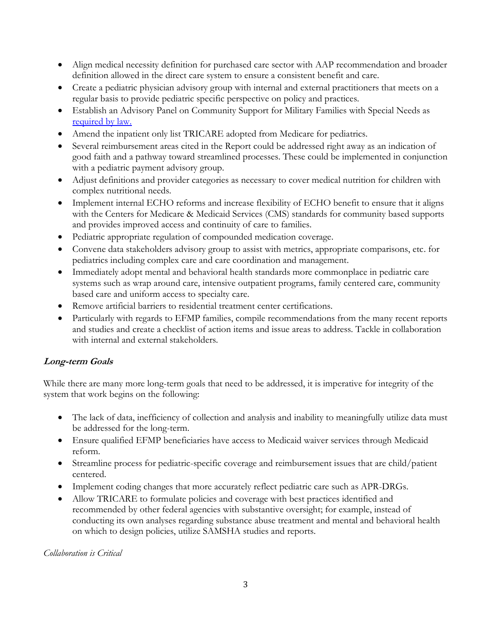- Align medical necessity definition for purchased care sector with AAP recommendation and broader definition allowed in the direct care system to ensure a consistent benefit and care.
- Create a pediatric physician advisory group with internal and external practitioners that meets on a regular basis to provide pediatric specific perspective on policy and practices.
- Establish an Advisory Panel on Community Support for Military Families with Special Needs as [required by law.](http://www.law.cornell.edu/uscode/text/10/1781c)
- Amend the inpatient only list TRICARE adopted from Medicare for pediatrics.
- Several reimbursement areas cited in the Report could be addressed right away as an indication of good faith and a pathway toward streamlined processes. These could be implemented in conjunction with a pediatric payment advisory group.
- Adjust definitions and provider categories as necessary to cover medical nutrition for children with complex nutritional needs.
- Implement internal ECHO reforms and increase flexibility of ECHO benefit to ensure that it aligns with the Centers for Medicare & Medicaid Services (CMS) standards for community based supports and provides improved access and continuity of care to families.
- Pediatric appropriate regulation of compounded medication coverage.
- Convene data stakeholders advisory group to assist with metrics, appropriate comparisons, etc. for pediatrics including complex care and care coordination and management.
- Immediately adopt mental and behavioral health standards more commonplace in pediatric care systems such as wrap around care, intensive outpatient programs, family centered care, community based care and uniform access to specialty care.
- Remove artificial barriers to residential treatment center certifications.
- Particularly with regards to EFMP families, compile recommendations from the many recent reports and studies and create a checklist of action items and issue areas to address. Tackle in collaboration with internal and external stakeholders.

# **Long-term Goals**

While there are many more long-term goals that need to be addressed, it is imperative for integrity of the system that work begins on the following:

- The lack of data, inefficiency of collection and analysis and inability to meaningfully utilize data must be addressed for the long-term.
- Ensure qualified EFMP beneficiaries have access to Medicaid waiver services through Medicaid reform.
- Streamline process for pediatric-specific coverage and reimbursement issues that are child/patient centered.
- Implement coding changes that more accurately reflect pediatric care such as APR-DRGs.
- Allow TRICARE to formulate policies and coverage with best practices identified and recommended by other federal agencies with substantive oversight; for example, instead of conducting its own analyses regarding substance abuse treatment and mental and behavioral health on which to design policies, utilize SAMSHA studies and reports.

*Collaboration is Critical*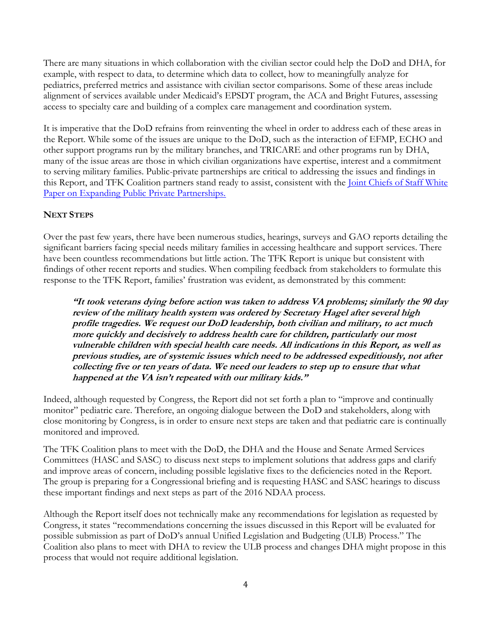There are many situations in which collaboration with the civilian sector could help the DoD and DHA, for example, with respect to data, to determine which data to collect, how to meaningfully analyze for pediatrics, preferred metrics and assistance with civilian sector comparisons. Some of these areas include alignment of services available under Medicaid's EPSDT program, the ACA and Bright Futures, assessing access to specialty care and building of a complex care management and coordination system.

It is imperative that the DoD refrains from reinventing the wheel in order to address each of these areas in the Report. While some of the issues are unique to the DoD, such as the interaction of EFMP, ECHO and other support programs run by the military branches, and TRICARE and other programs run by DHA, many of the issue areas are those in which civilian organizations have expertise, interest and a commitment to serving military families. Public-private partnerships are critical to addressing the issues and findings in this Report, and TFK Coalition partners stand ready to assist, consistent with the [Joint Chiefs of Staff White](http://www.jcs.mil/portals/36/Documents/WarriorFamilySupport/Public_Private_Partnerships_Final.pdf)  [Paper on Expanding Public Private Partnerships.](http://www.jcs.mil/portals/36/Documents/WarriorFamilySupport/Public_Private_Partnerships_Final.pdf)

### **NEXT STEPS**

Over the past few years, there have been numerous studies, hearings, surveys and GAO reports detailing the significant barriers facing special needs military families in accessing healthcare and support services. There have been countless recommendations but little action. The TFK Report is unique but consistent with findings of other recent reports and studies. When compiling feedback from stakeholders to formulate this response to the TFK Report, families' frustration was evident, as demonstrated by this comment:

**"It took veterans dying before action was taken to address VA problems; similarly the 90 day review of the military health system was ordered by Secretary Hagel after several high profile tragedies. We request our DoD leadership, both civilian and military, to act much more quickly and decisively to address health care for children, particularly our most vulnerable children with special health care needs. All indications in this Report, as well as previous studies, are of systemic issues which need to be addressed expeditiously, not after collecting five or ten years of data. We need our leaders to step up to ensure that what happened at the VA isn't repeated with our military kids."**

Indeed, although requested by Congress, the Report did not set forth a plan to "improve and continually monitor" pediatric care. Therefore, an ongoing dialogue between the DoD and stakeholders, along with close monitoring by Congress, is in order to ensure next steps are taken and that pediatric care is continually monitored and improved.

The TFK Coalition plans to meet with the DoD, the DHA and the House and Senate Armed Services Committees (HASC and SASC) to discuss next steps to implement solutions that address gaps and clarify and improve areas of concern, including possible legislative fixes to the deficiencies noted in the Report. The group is preparing for a Congressional briefing and is requesting HASC and SASC hearings to discuss these important findings and next steps as part of the 2016 NDAA process.

Although the Report itself does not technically make any recommendations for legislation as requested by Congress, it states "recommendations concerning the issues discussed in this Report will be evaluated for possible submission as part of DoD's annual Unified Legislation and Budgeting (ULB) Process." The Coalition also plans to meet with DHA to review the ULB process and changes DHA might propose in this process that would not require additional legislation.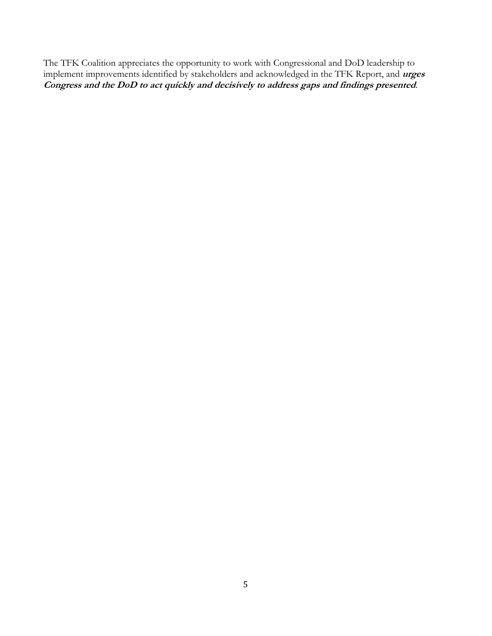The TFK Coalition appreciates the opportunity to work with Congressional and DoD leadership to implement improvements identified by stakeholders and acknowledged in the TFK Report, and **urges Congress and the DoD to act quickly and decisively to address gaps and findings presented**.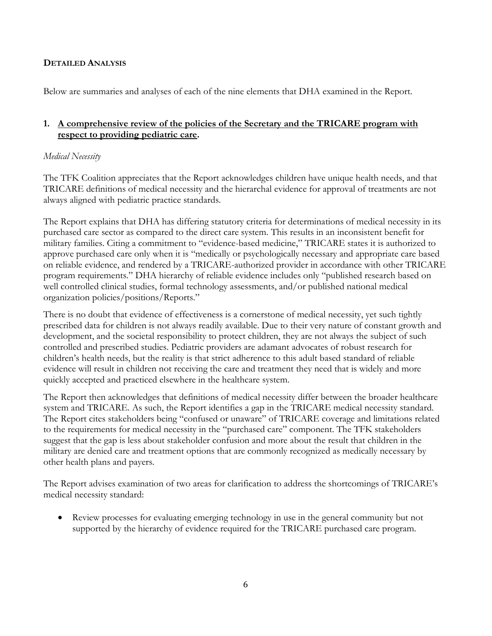# **DETAILED ANALYSIS**

Below are summaries and analyses of each of the nine elements that DHA examined in the Report.

# **1. A comprehensive review of the policies of the Secretary and the TRICARE program with respect to providing pediatric care.**

# *Medical Necessity*

The TFK Coalition appreciates that the Report acknowledges children have unique health needs, and that TRICARE definitions of medical necessity and the hierarchal evidence for approval of treatments are not always aligned with pediatric practice standards.

The Report explains that DHA has differing statutory criteria for determinations of medical necessity in its purchased care sector as compared to the direct care system. This results in an inconsistent benefit for military families. Citing a commitment to "evidence-based medicine," TRICARE states it is authorized to approve purchased care only when it is "medically or psychologically necessary and appropriate care based on reliable evidence, and rendered by a TRICARE-authorized provider in accordance with other TRICARE program requirements." DHA hierarchy of reliable evidence includes only "published research based on well controlled clinical studies, formal technology assessments, and/or published national medical organization policies/positions/Reports."

There is no doubt that evidence of effectiveness is a cornerstone of medical necessity, yet such tightly prescribed data for children is not always readily available. Due to their very nature of constant growth and development, and the societal responsibility to protect children, they are not always the subject of such controlled and prescribed studies. Pediatric providers are adamant advocates of robust research for children's health needs, but the reality is that strict adherence to this adult based standard of reliable evidence will result in children not receiving the care and treatment they need that is widely and more quickly accepted and practiced elsewhere in the healthcare system.

The Report then acknowledges that definitions of medical necessity differ between the broader healthcare system and TRICARE. As such, the Report identifies a gap in the TRICARE medical necessity standard. The Report cites stakeholders being "confused or unaware" of TRICARE coverage and limitations related to the requirements for medical necessity in the "purchased care" component. The TFK stakeholders suggest that the gap is less about stakeholder confusion and more about the result that children in the military are denied care and treatment options that are commonly recognized as medically necessary by other health plans and payers.

The Report advises examination of two areas for clarification to address the shortcomings of TRICARE's medical necessity standard:

 Review processes for evaluating emerging technology in use in the general community but not supported by the hierarchy of evidence required for the TRICARE purchased care program.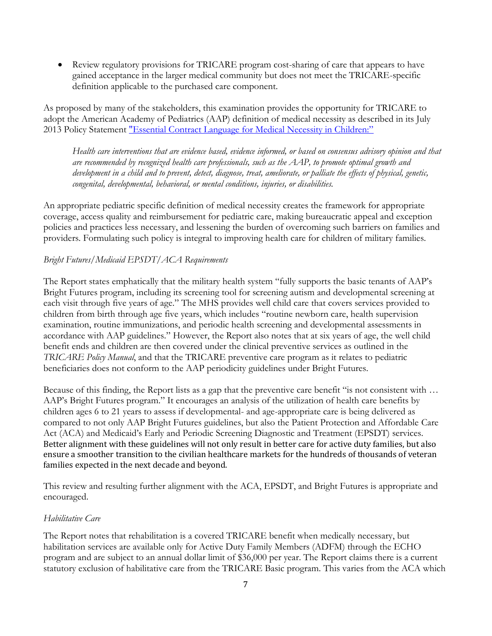Review regulatory provisions for TRICARE program cost-sharing of care that appears to have gained acceptance in the larger medical community but does not meet the TRICARE-specific definition applicable to the purchased care component.

As proposed by many of the stakeholders, this examination provides the opportunity for TRICARE to adopt the American Academy of Pediatrics (AAP) definition of medical necessity as described in its July 2013 Policy Statement ["Essential Contract Language for Medical Necessity in Children:"](file:///C:/Users/Jeremy/AppData/Local/Microsoft/Windows/Temporary%20Internet%20Files/Content.Outlook/BUEGBHRE/pediatrics.aappublicatoins.org/content/132/2/398)

*Health care interventions that are evidence based, evidence informed, or based on consensus advisory opinion and that are recommended by recognized health care professionals, such as the AAP, to promote optimal growth and development in a child and to prevent, detect, diagnose, treat, ameliorate, or palliate the effects of physical, genetic, congenital, developmental, behavioral, or mental conditions, injuries, or disabilities.*

An appropriate pediatric specific definition of medical necessity creates the framework for appropriate coverage, access quality and reimbursement for pediatric care, making bureaucratic appeal and exception policies and practices less necessary, and lessening the burden of overcoming such barriers on families and providers. Formulating such policy is integral to improving health care for children of military families.

# *Bright Futures/Medicaid EPSDT/ACA Requirements*

The Report states emphatically that the military health system "fully supports the basic tenants of AAP's Bright Futures program, including its screening tool for screening autism and developmental screening at each visit through five years of age." The MHS provides well child care that covers services provided to children from birth through age five years, which includes "routine newborn care, health supervision examination, routine immunizations, and periodic health screening and developmental assessments in accordance with AAP guidelines." However, the Report also notes that at six years of age, the well child benefit ends and children are then covered under the clinical preventive services as outlined in the *TRICARE Policy Manual*, and that the TRICARE preventive care program as it relates to pediatric beneficiaries does not conform to the AAP periodicity guidelines under Bright Futures.

Because of this finding, the Report lists as a gap that the preventive care benefit "is not consistent with … AAP's Bright Futures program." It encourages an analysis of the utilization of health care benefits by children ages 6 to 21 years to assess if developmental- and age-appropriate care is being delivered as compared to not only AAP Bright Futures guidelines, but also the Patient Protection and Affordable Care Act (ACA) and Medicaid's Early and Periodic Screening Diagnostic and Treatment (EPSDT) services. Better alignment with these guidelines will not only result in better care for active duty families, but also ensure a smoother transition to the civilian healthcare markets for the hundreds of thousands of veteran families expected in the next decade and beyond.

This review and resulting further alignment with the ACA, EPSDT, and Bright Futures is appropriate and encouraged.

### *Habilitative Care*

The Report notes that rehabilitation is a covered TRICARE benefit when medically necessary, but habilitation services are available only for Active Duty Family Members (ADFM) through the ECHO program and are subject to an annual dollar limit of \$36,000 per year. The Report claims there is a current statutory exclusion of habilitative care from the TRICARE Basic program. This varies from the ACA which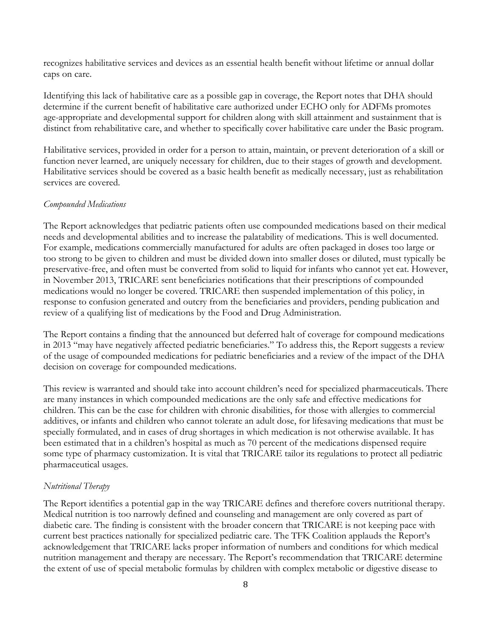recognizes habilitative services and devices as an essential health benefit without lifetime or annual dollar caps on care.

Identifying this lack of habilitative care as a possible gap in coverage, the Report notes that DHA should determine if the current benefit of habilitative care authorized under ECHO only for ADFMs promotes age-appropriate and developmental support for children along with skill attainment and sustainment that is distinct from rehabilitative care, and whether to specifically cover habilitative care under the Basic program.

Habilitative services, provided in order for a person to attain, maintain, or prevent deterioration of a skill or function never learned, are uniquely necessary for children, due to their stages of growth and development. Habilitative services should be covered as a basic health benefit as medically necessary, just as rehabilitation services are covered.

#### *Compounded Medications*

The Report acknowledges that pediatric patients often use compounded medications based on their medical needs and developmental abilities and to increase the palatability of medications. This is well documented. For example, medications commercially manufactured for adults are often packaged in doses too large or too strong to be given to children and must be divided down into smaller doses or diluted, must typically be preservative-free, and often must be converted from solid to liquid for infants who cannot yet eat. However, in November 2013, TRICARE sent beneficiaries notifications that their prescriptions of compounded medications would no longer be covered. TRICARE then suspended implementation of this policy, in response to confusion generated and outcry from the beneficiaries and providers, pending publication and review of a qualifying list of medications by the Food and Drug Administration.

The Report contains a finding that the announced but deferred halt of coverage for compound medications in 2013 "may have negatively affected pediatric beneficiaries." To address this, the Report suggests a review of the usage of compounded medications for pediatric beneficiaries and a review of the impact of the DHA decision on coverage for compounded medications.

This review is warranted and should take into account children's need for specialized pharmaceuticals. There are many instances in which compounded medications are the only safe and effective medications for children. This can be the case for children with chronic disabilities, for those with allergies to commercial additives, or infants and children who cannot tolerate an adult dose, for lifesaving medications that must be specially formulated, and in cases of drug shortages in which medication is not otherwise available. It has been estimated that in a children's hospital as much as 70 percent of the medications dispensed require some type of pharmacy customization. It is vital that TRICARE tailor its regulations to protect all pediatric pharmaceutical usages.

#### *Nutritional Therapy*

The Report identifies a potential gap in the way TRICARE defines and therefore covers nutritional therapy. Medical nutrition is too narrowly defined and counseling and management are only covered as part of diabetic care. The finding is consistent with the broader concern that TRICARE is not keeping pace with current best practices nationally for specialized pediatric care. The TFK Coalition applauds the Report's acknowledgement that TRICARE lacks proper information of numbers and conditions for which medical nutrition management and therapy are necessary. The Report's recommendation that TRICARE determine the extent of use of special metabolic formulas by children with complex metabolic or digestive disease to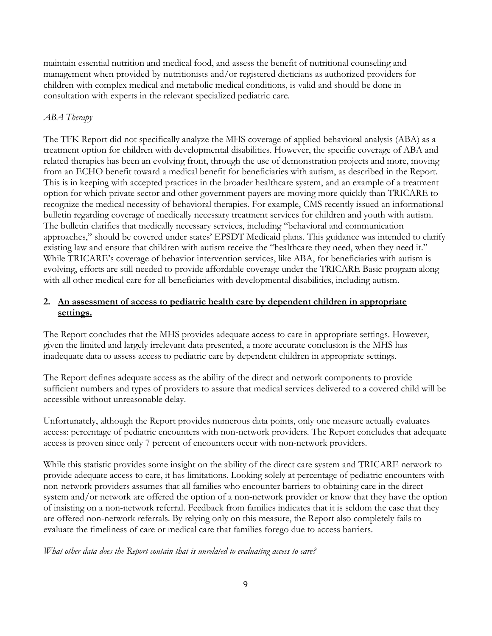maintain essential nutrition and medical food, and assess the benefit of nutritional counseling and management when provided by nutritionists and/or registered dieticians as authorized providers for children with complex medical and metabolic medical conditions, is valid and should be done in consultation with experts in the relevant specialized pediatric care.

# *ABA Therapy*

The TFK Report did not specifically analyze the MHS coverage of applied behavioral analysis (ABA) as a treatment option for children with developmental disabilities. However, the specific coverage of ABA and related therapies has been an evolving front, through the use of demonstration projects and more, moving from an ECHO benefit toward a medical benefit for beneficiaries with autism, as described in the Report. This is in keeping with accepted practices in the broader healthcare system, and an example of a treatment option for which private sector and other government payers are moving more quickly than TRICARE to recognize the medical necessity of behavioral therapies. For example, CMS recently issued an informational bulletin regarding coverage of medically necessary treatment services for children and youth with autism. The bulletin clarifies that medically necessary services, including "behavioral and communication approaches," should be covered under states' EPSDT Medicaid plans. This guidance was intended to clarify existing law and ensure that children with autism receive the "healthcare they need, when they need it." While TRICARE's coverage of behavior intervention services, like ABA, for beneficiaries with autism is evolving, efforts are still needed to provide affordable coverage under the TRICARE Basic program along with all other medical care for all beneficiaries with developmental disabilities, including autism.

# **2. An assessment of access to pediatric health care by dependent children in appropriate settings.**

The Report concludes that the MHS provides adequate access to care in appropriate settings. However, given the limited and largely irrelevant data presented, a more accurate conclusion is the MHS has inadequate data to assess access to pediatric care by dependent children in appropriate settings.

The Report defines adequate access as the ability of the direct and network components to provide sufficient numbers and types of providers to assure that medical services delivered to a covered child will be accessible without unreasonable delay.

Unfortunately, although the Report provides numerous data points, only one measure actually evaluates access: percentage of pediatric encounters with non-network providers. The Report concludes that adequate access is proven since only 7 percent of encounters occur with non-network providers.

While this statistic provides some insight on the ability of the direct care system and TRICARE network to provide adequate access to care, it has limitations. Looking solely at percentage of pediatric encounters with non-network providers assumes that all families who encounter barriers to obtaining care in the direct system and/or network are offered the option of a non-network provider or know that they have the option of insisting on a non-network referral. Feedback from families indicates that it is seldom the case that they are offered non-network referrals. By relying only on this measure, the Report also completely fails to evaluate the timeliness of care or medical care that families forego due to access barriers.

# *What other data does the Report contain that is unrelated to evaluating access to care?*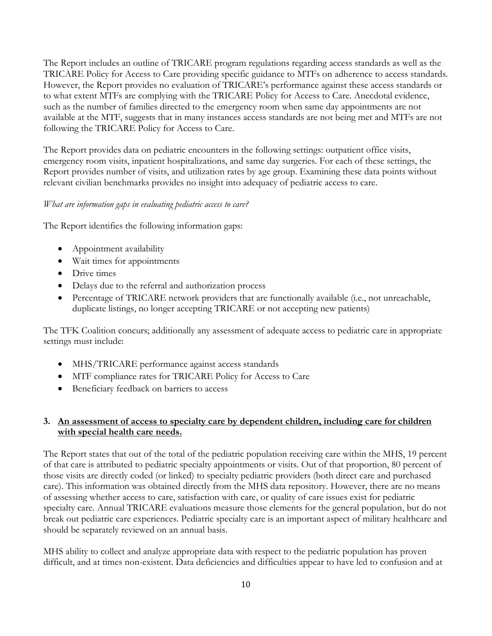The Report includes an outline of TRICARE program regulations regarding access standards as well as the TRICARE Policy for Access to Care providing specific guidance to MTFs on adherence to access standards. However, the Report provides no evaluation of TRICARE's performance against these access standards or to what extent MTFs are complying with the TRICARE Policy for Access to Care. Anecdotal evidence, such as the number of families directed to the emergency room when same day appointments are not available at the MTF, suggests that in many instances access standards are not being met and MTFs are not following the TRICARE Policy for Access to Care.

The Report provides data on pediatric encounters in the following settings: outpatient office visits, emergency room visits, inpatient hospitalizations, and same day surgeries. For each of these settings, the Report provides number of visits, and utilization rates by age group. Examining these data points without relevant civilian benchmarks provides no insight into adequacy of pediatric access to care.

### *What are information gaps in evaluating pediatric access to care?*

The Report identifies the following information gaps:

- Appointment availability
- Wait times for appointments
- Drive times
- Delays due to the referral and authorization process
- Percentage of TRICARE network providers that are functionally available (i.e., not unreachable, duplicate listings, no longer accepting TRICARE or not accepting new patients)

The TFK Coalition concurs; additionally any assessment of adequate access to pediatric care in appropriate settings must include:

- MHS/TRICARE performance against access standards
- MTF compliance rates for TRICARE Policy for Access to Care
- Beneficiary feedback on barriers to access

# **3. An assessment of access to specialty care by dependent children, including care for children with special health care needs.**

The Report states that out of the total of the pediatric population receiving care within the MHS, 19 percent of that care is attributed to pediatric specialty appointments or visits. Out of that proportion, 80 percent of those visits are directly coded (or linked) to specialty pediatric providers (both direct care and purchased care). This information was obtained directly from the MHS data repository. However, there are no means of assessing whether access to care, satisfaction with care, or quality of care issues exist for pediatric specialty care. Annual TRICARE evaluations measure those elements for the general population, but do not break out pediatric care experiences. Pediatric specialty care is an important aspect of military healthcare and should be separately reviewed on an annual basis.

MHS ability to collect and analyze appropriate data with respect to the pediatric population has proven difficult, and at times non-existent. Data deficiencies and difficulties appear to have led to confusion and at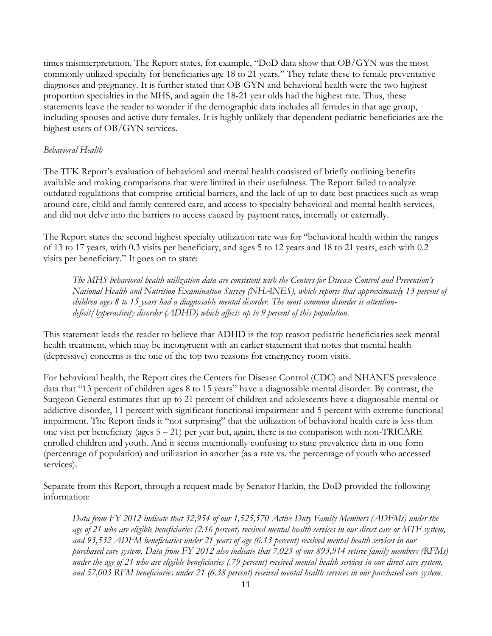times misinterpretation. The Report states, for example, "DoD data show that OB/GYN was the most commonly utilized specialty for beneficiaries age 18 to 21 years." They relate these to female preventative diagnoses and pregnancy. It is further stated that OB-GYN and behavioral health were the two highest proportion specialties in the MHS, and again the 18-21 year olds had the highest rate. Thus, these statements leave the reader to wonder if the demographic data includes all females in that age group, including spouses and active duty females. It is highly unlikely that dependent pediatric beneficiaries are the highest users of OB/GYN services.

### *Behavioral Health*

The TFK Report's evaluation of behavioral and mental health consisted of briefly outlining benefits available and making comparisons that were limited in their usefulness. The Report failed to analyze outdated regulations that comprise artificial barriers, and the lack of up to date best practices such as wrap around care, child and family centered care, and access to specialty behavioral and mental health services, and did not delve into the barriers to access caused by payment rates, internally or externally.

The Report states the second highest specialty utilization rate was for "behavioral health within the ranges of 13 to 17 years, with 0.3 visits per beneficiary, and ages 5 to 12 years and 18 to 21 years, each with 0.2 visits per beneficiary." It goes on to state:

*The MHS behavioral health utilization data are consistent with the Centers for Disease Control and Prevention's National Health and Nutrition Examination Survey (NHANES), which reports that approximately 13 percent of children ages 8 to 15 years had a diagnosable mental disorder. The most common disorder is attentiondeficit/hyperactivity disorder (ADHD) which affects up to 9 percent of this population.*

This statement leads the reader to believe that ADHD is the top reason pediatric beneficiaries seek mental health treatment, which may be incongruent with an earlier statement that notes that mental health (depressive) concerns is the one of the top two reasons for emergency room visits.

For behavioral health, the Report cites the Centers for Disease Control (CDC) and NHANES prevalence data that "13 percent of children ages 8 to 15 years" have a diagnosable mental disorder. By contrast, the Surgeon General estimates that up to 21 percent of children and adolescents have a diagnosable mental or addictive disorder, 11 percent with significant functional impairment and 5 percent with extreme functional impairment. The Report finds it "not surprising" that the utilization of behavioral health care is less than one visit per beneficiary (ages 5 – 21) per year but, again, there is no comparison with non-TRICARE enrolled children and youth. And it seems intentionally confusing to state prevalence data in one form (percentage of population) and utilization in another (as a rate vs. the percentage of youth who accessed services).

Separate from this Report, through a request made by Senator Harkin, the DoD provided the following information:

*Data from FY 2012 indicate that 32,954 of our 1,525,570 Active Duty Family Members (ADFMs) under the age of 21 who are eligible beneficiaries (2.16 percent) received mental health services in our direct care or MTF system, and 93,532 ADFM beneficiaries under 21 years of age (6.13 percent) received mental health services in our purchased care system. Data from FY 2012 also indicate that 7,025 of our 893,914 retiree family members (RFMs) under the age of 21 who are eligible beneficiaries (.79 percent) received mental health services in our direct care system, and 57,003 RFM beneficiaries under 21 (6.38 percent) received mental health services in our purchased care system.*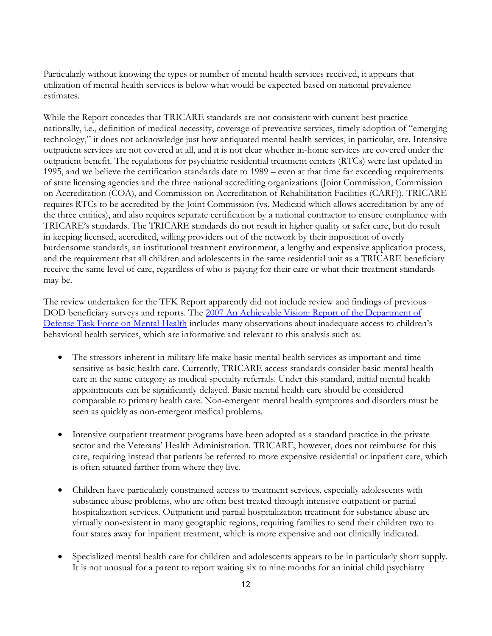Particularly without knowing the types or number of mental health services received, it appears that utilization of mental health services is below what would be expected based on national prevalence estimates.

While the Report concedes that TRICARE standards are not consistent with current best practice nationally, i.e., definition of medical necessity, coverage of preventive services, timely adoption of "emerging technology," it does not acknowledge just how antiquated mental health services, in particular, are. Intensive outpatient services are not covered at all, and it is not clear whether in-home services are covered under the outpatient benefit. The regulations for psychiatric residential treatment centers (RTCs) were last updated in 1995, and we believe the certification standards date to 1989 – even at that time far exceeding requirements of state licensing agencies and the three national accrediting organizations (Joint Commission, Commission on Accreditation (COA), and Commission on Accreditation of Rehabilitation Facilities (CARF)). TRICARE requires RTCs to be accredited by the Joint Commission (vs. Medicaid which allows accreditation by any of the three entities), and also requires separate certification by a national contractor to ensure compliance with TRICARE's standards. The TRICARE standards do not result in higher quality or safer care, but do result in keeping licensed, accredited, willing providers out of the network by their imposition of overly burdensome standards, an institutional treatment environment, a lengthy and expensive application process, and the requirement that all children and adolescents in the same residential unit as a TRICARE beneficiary receive the same level of care, regardless of who is paying for their care or what their treatment standards may be.

The review undertaken for the TFK Report apparently did not include review and findings of previous DOD beneficiary surveys and reports. The [2007 An Achievable Vision: Report](http://archive.org/stream/AnAchievableVisionReportOfTheDepartmentOfDefenseTaskForceOnMental) of the Department of [Defense Task Force on Mental Health](http://archive.org/stream/AnAchievableVisionReportOfTheDepartmentOfDefenseTaskForceOnMental) includes many observations about inadequate access to children's behavioral health services, which are informative and relevant to this analysis such as:

- The stressors inherent in military life make basic mental health services as important and timesensitive as basic health care. Currently, TRICARE access standards consider basic mental health care in the same category as medical specialty referrals. Under this standard, initial mental health appointments can be significantly delayed. Basic mental health care should be considered comparable to primary health care. Non-emergent mental health symptoms and disorders must be seen as quickly as non-emergent medical problems.
- Intensive outpatient treatment programs have been adopted as a standard practice in the private sector and the Veterans' Health Administration. TRICARE, however, does not reimburse for this care, requiring instead that patients be referred to more expensive residential or inpatient care, which is often situated farther from where they live.
- Children have particularly constrained access to treatment services, especially adolescents with substance abuse problems, who are often best treated through intensive outpatient or partial hospitalization services. Outpatient and partial hospitalization treatment for substance abuse are virtually non-existent in many geographic regions, requiring families to send their children two to four states away for inpatient treatment, which is more expensive and not clinically indicated.
- Specialized mental health care for children and adolescents appears to be in particularly short supply. It is not unusual for a parent to report waiting six to nine months for an initial child psychiatry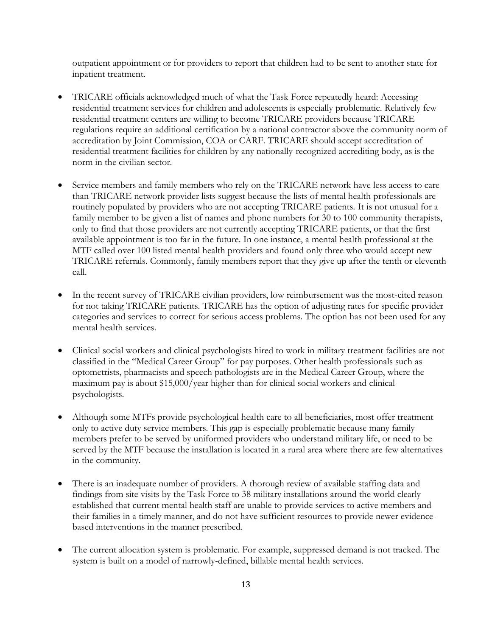outpatient appointment or for providers to report that children had to be sent to another state for inpatient treatment.

- TRICARE officials acknowledged much of what the Task Force repeatedly heard: Accessing residential treatment services for children and adolescents is especially problematic. Relatively few residential treatment centers are willing to become TRICARE providers because TRICARE regulations require an additional certification by a national contractor above the community norm of accreditation by Joint Commission, COA or CARF. TRICARE should accept accreditation of residential treatment facilities for children by any nationally-recognized accrediting body, as is the norm in the civilian sector.
- Service members and family members who rely on the TRICARE network have less access to care than TRICARE network provider lists suggest because the lists of mental health professionals are routinely populated by providers who are not accepting TRICARE patients. It is not unusual for a family member to be given a list of names and phone numbers for 30 to 100 community therapists, only to find that those providers are not currently accepting TRICARE patients, or that the first available appointment is too far in the future. In one instance, a mental health professional at the MTF called over 100 listed mental health providers and found only three who would accept new TRICARE referrals. Commonly, family members report that they give up after the tenth or eleventh call.
- In the recent survey of TRICARE civilian providers, low reimbursement was the most-cited reason for not taking TRICARE patients. TRICARE has the option of adjusting rates for specific provider categories and services to correct for serious access problems. The option has not been used for any mental health services.
- Clinical social workers and clinical psychologists hired to work in military treatment facilities are not classified in the "Medical Career Group" for pay purposes. Other health professionals such as optometrists, pharmacists and speech pathologists are in the Medical Career Group, where the maximum pay is about \$15,000/year higher than for clinical social workers and clinical psychologists.
- Although some MTFs provide psychological health care to all beneficiaries, most offer treatment only to active duty service members. This gap is especially problematic because many family members prefer to be served by uniformed providers who understand military life, or need to be served by the MTF because the installation is located in a rural area where there are few alternatives in the community.
- There is an inadequate number of providers. A thorough review of available staffing data and findings from site visits by the Task Force to 38 military installations around the world clearly established that current mental health staff are unable to provide services to active members and their families in a timely manner, and do not have sufficient resources to provide newer evidencebased interventions in the manner prescribed.
- The current allocation system is problematic. For example, suppressed demand is not tracked. The system is built on a model of narrowly-defined, billable mental health services.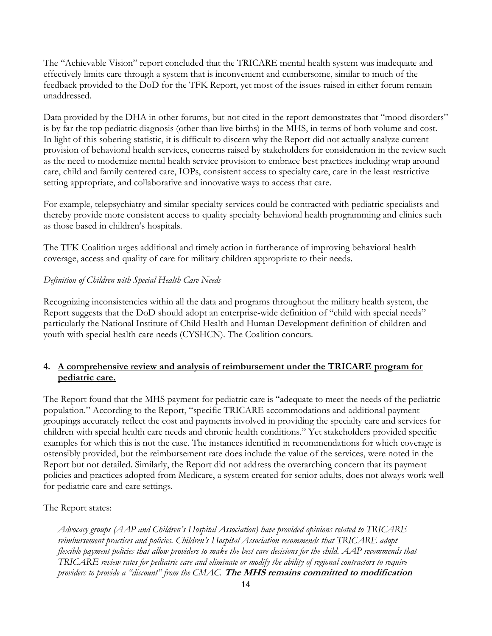The "Achievable Vision" report concluded that the TRICARE mental health system was inadequate and effectively limits care through a system that is inconvenient and cumbersome, similar to much of the feedback provided to the DoD for the TFK Report, yet most of the issues raised in either forum remain unaddressed.

Data provided by the DHA in other forums, but not cited in the report demonstrates that "mood disorders" is by far the top pediatric diagnosis (other than live births) in the MHS, in terms of both volume and cost. In light of this sobering statistic, it is difficult to discern why the Report did not actually analyze current provision of behavioral health services, concerns raised by stakeholders for consideration in the review such as the need to modernize mental health service provision to embrace best practices including wrap around care, child and family centered care, IOPs, consistent access to specialty care, care in the least restrictive setting appropriate, and collaborative and innovative ways to access that care.

For example, telepsychiatry and similar specialty services could be contracted with pediatric specialists and thereby provide more consistent access to quality specialty behavioral health programming and clinics such as those based in children's hospitals.

The TFK Coalition urges additional and timely action in furtherance of improving behavioral health coverage, access and quality of care for military children appropriate to their needs.

### *Definition of Children with Special Health Care Needs*

Recognizing inconsistencies within all the data and programs throughout the military health system, the Report suggests that the DoD should adopt an enterprise-wide definition of "child with special needs" particularly the National Institute of Child Health and Human Development definition of children and youth with special health care needs (CYSHCN). The Coalition concurs.

# **4. A comprehensive review and analysis of reimbursement under the TRICARE program for pediatric care.**

The Report found that the MHS payment for pediatric care is "adequate to meet the needs of the pediatric population." According to the Report, "specific TRICARE accommodations and additional payment groupings accurately reflect the cost and payments involved in providing the specialty care and services for children with special health care needs and chronic health conditions." Yet stakeholders provided specific examples for which this is not the case. The instances identified in recommendations for which coverage is ostensibly provided, but the reimbursement rate does include the value of the services, were noted in the Report but not detailed. Similarly, the Report did not address the overarching concern that its payment policies and practices adopted from Medicare, a system created for senior adults, does not always work well for pediatric care and care settings.

The Report states:

*Advocacy groups (AAP and Children's Hospital Association) have provided opinions related to TRICARE reimbursement practices and policies. Children's Hospital Association recommends that TRICARE adopt flexible payment policies that allow providers to make the best care decisions for the child. AAP recommends that TRICARE review rates for pediatric care and eliminate or modify the ability of regional contractors to require providers to provide a "discount" from the CMAC.* **The MHS remains committed to modification**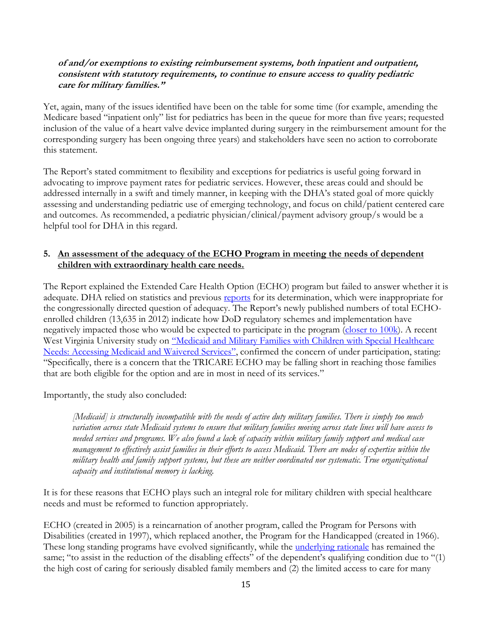### **of and/or exemptions to existing reimbursement systems, both inpatient and outpatient, consistent with statutory requirements, to continue to ensure access to quality pediatric care for military families."**

Yet, again, many of the issues identified have been on the table for some time (for example, amending the Medicare based "inpatient only" list for pediatrics has been in the queue for more than five years; requested inclusion of the value of a heart valve device implanted during surgery in the reimbursement amount for the corresponding surgery has been ongoing three years) and stakeholders have seen no action to corroborate this statement.

The Report's stated commitment to flexibility and exceptions for pediatrics is useful going forward in advocating to improve payment rates for pediatric services. However, these areas could and should be addressed internally in a swift and timely manner, in keeping with the DHA's stated goal of more quickly assessing and understanding pediatric use of emerging technology, and focus on child/patient centered care and outcomes. As recommended, a pediatric physician/clinical/payment advisory group/s would be a helpful tool for DHA in this regard.

# **5. An assessment of the adequacy of the ECHO Program in meeting the needs of dependent children with extraordinary health care needs.**

The Report explained the Extended Care Health Option (ECHO) program but failed to answer whether it is adequate. DHA relied on statistics and previous [reports](http://tricare.mil/tma/congressionalinformation/downloads/ExpansionEvaluationEffectivenessTRICAREProgramECHO.pdf) for its determination, which were inappropriate for the congressionally directed question of adequacy. The Report's newly published numbers of total ECHOenrolled children (13,635 in 2012) indicate how DoD regulatory schemes and implementation have negatively impacted those who would be expected to participate in the program [\(closer to 100k\)](http://www.mchb.hrsa.gov/cshcn0910). A recent West Virginia University study on "Medicaid and Military Families with Children with Special Healthcare [Needs: Accessing Medicaid and Waiver](http://www.militaryonesource.mil/12038/MOS/EFMP/EFMP_MedicaidReport.pdf)ed Services", confirmed the concern of under participation, stating: "Specifically, there is a concern that the TRICARE ECHO may be falling short in reaching those families that are both eligible for the option and are in most in need of its services."

Importantly, the study also concluded:

*[Medicaid] is structurally incompatible with the needs of active duty military families. There is simply too much variation across state Medicaid systems to ensure that military families moving across state lines will have access to needed services and programs. We also found a lack of capacity within military family support and medical case management to effectively assist families in their efforts to access Medicaid. There are nodes of expertise within the military health and family support systems, but these are neither coordinated nor systematic. True organizational capacity and institutional memory is lacking.*

It is for these reasons that ECHO plays such an integral role for military children with special healthcare needs and must be reformed to function appropriately.

ECHO (created in 2005) is a reincarnation of another program, called the Program for Persons with Disabilities (created in 1997), which replaced another, the Program for the Handicapped (created in 1966). These long standing programs have evolved significantly, while the *underlying rationale* has remained the same; "to assist in the reduction of the disabling effects" of the dependent's qualifying condition due to "(1) the high cost of caring for seriously disabled family members and (2) the limited access to care for many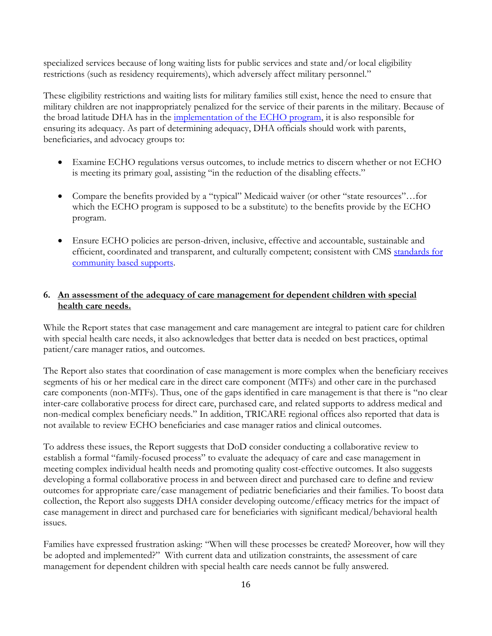specialized services because of long waiting lists for public services and state and/or local eligibility restrictions (such as residency requirements), which adversely affect military personnel."

These eligibility restrictions and waiting lists for military families still exist, hence the need to ensure that military children are not inappropriately penalized for the service of their parents in the military. Because of the broad latitude DHA has in the [implementation of the ECHO program,](https://www.dropbox.com/s/8yhnwft3nmnifok/ECHO%20Analysis%2030%20Oct%202013.pdf) it is also responsible for ensuring its adequacy. As part of determining adequacy, DHA officials should work with parents, beneficiaries, and advocacy groups to:

- Examine ECHO regulations versus outcomes, to include metrics to discern whether or not ECHO is meeting its primary goal, assisting "in the reduction of the disabling effects."
- Compare the benefits provided by a "typical" Medicaid waiver (or other "state resources"…for which the ECHO program is supposed to be a substitute) to the benefits provide by the ECHO program.
- Ensure ECHO policies are person-driven, inclusive, effective and accountable, sustainable and efficient, coordinated and transparent, and culturally competent; consistent with CMS standards for [community based supports.](http://www.medicaid.gov/MEdicaid-CHIP-PRogram_Information/By-Topics/Long-Term-Services-And-Supports/Long-Term-Service-And-Supports.html)

# **6. An assessment of the adequacy of care management for dependent children with special health care needs.**

While the Report states that case management and care management are integral to patient care for children with special health care needs, it also acknowledges that better data is needed on best practices, optimal patient/care manager ratios, and outcomes.

The Report also states that coordination of case management is more complex when the beneficiary receives segments of his or her medical care in the direct care component (MTFs) and other care in the purchased care components (non-MTFs). Thus, one of the gaps identified in care management is that there is "no clear inter-care collaborative process for direct care, purchased care, and related supports to address medical and non-medical complex beneficiary needs." In addition, TRICARE regional offices also reported that data is not available to review ECHO beneficiaries and case manager ratios and clinical outcomes.

To address these issues, the Report suggests that DoD consider conducting a collaborative review to establish a formal "family-focused process" to evaluate the adequacy of care and case management in meeting complex individual health needs and promoting quality cost-effective outcomes. It also suggests developing a formal collaborative process in and between direct and purchased care to define and review outcomes for appropriate care/case management of pediatric beneficiaries and their families. To boost data collection, the Report also suggests DHA consider developing outcome/efficacy metrics for the impact of case management in direct and purchased care for beneficiaries with significant medical/behavioral health issues.

Families have expressed frustration asking: "When will these processes be created? Moreover, how will they be adopted and implemented?" With current data and utilization constraints, the assessment of care management for dependent children with special health care needs cannot be fully answered.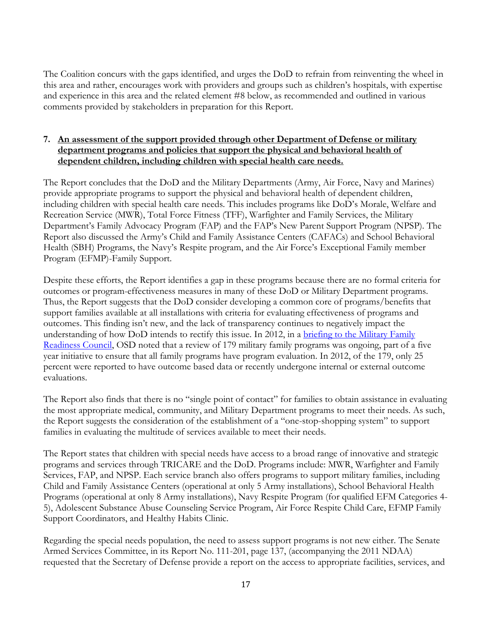The Coalition concurs with the gaps identified, and urges the DoD to refrain from reinventing the wheel in this area and rather, encourages work with providers and groups such as children's hospitals, with expertise and experience in this area and the related element #8 below, as recommended and outlined in various comments provided by stakeholders in preparation for this Report.

# **7. An assessment of the support provided through other Department of Defense or military department programs and policies that support the physical and behavioral health of dependent children, including children with special health care needs.**

The Report concludes that the DoD and the Military Departments (Army, Air Force, Navy and Marines) provide appropriate programs to support the physical and behavioral health of dependent children, including children with special health care needs. This includes programs like DoD's Morale, Welfare and Recreation Service (MWR), Total Force Fitness (TFF), Warfighter and Family Services, the Military Department's Family Advocacy Program (FAP) and the FAP's New Parent Support Program (NPSP). The Report also discussed the Army's Child and Family Assistance Centers (CAFACs) and School Behavioral Health (SBH) Programs, the Navy's Respite program, and the Air Force's Exceptional Family member Program (EFMP)-Family Support.

Despite these efforts, the Report identifies a gap in these programs because there are no formal criteria for outcomes or program-effectiveness measures in many of these DoD or Military Department programs. Thus, the Report suggests that the DoD consider developing a common core of programs/benefits that support families available at all installations with criteria for evaluating effectiveness of programs and outcomes. This finding isn't new, and the lack of transparency continues to negatively impact the understanding of how DoD intends to rectify this issue. In 2012, in a briefing to the Military Family [Readiness Council,](http://www.militaryonesource.mil/12038/MOS/MFRC/Sept-2012-MFRC-signed-minutes.pdf) OSD noted that a review of 179 military family programs was ongoing, part of a five year initiative to ensure that all family programs have program evaluation. In 2012, of the 179, only 25 percent were reported to have outcome based data or recently undergone internal or external outcome evaluations.

The Report also finds that there is no "single point of contact" for families to obtain assistance in evaluating the most appropriate medical, community, and Military Department programs to meet their needs. As such, the Report suggests the consideration of the establishment of a "one-stop-shopping system" to support families in evaluating the multitude of services available to meet their needs.

The Report states that children with special needs have access to a broad range of innovative and strategic programs and services through TRICARE and the DoD. Programs include: MWR, Warfighter and Family Services, FAP, and NPSP. Each service branch also offers programs to support military families, including Child and Family Assistance Centers (operational at only 5 Army installations), School Behavioral Health Programs (operational at only 8 Army installations), Navy Respite Program (for qualified EFM Categories 4- 5), Adolescent Substance Abuse Counseling Service Program, Air Force Respite Child Care, EFMP Family Support Coordinators, and Healthy Habits Clinic.

Regarding the special needs population, the need to assess support programs is not new either. The Senate Armed Services Committee, in its Report No. 111-201, page 137, (accompanying the 2011 NDAA) requested that the Secretary of Defense provide a report on the access to appropriate facilities, services, and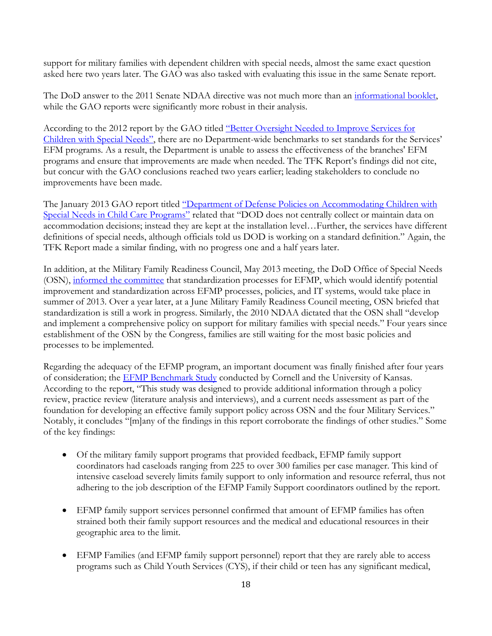support for military families with dependent children with special needs, almost the same exact question asked here two years later. The GAO was also tasked with evaluating this issue in the same Senate report.

The DoD answer to the 2011 Senate NDAA directive was not much more than an [informational booklet,](http://www.dod.mil/pubs/foi/administration_and_management/other/11_F_1359_Response_toSenate_Armed_Services_Committee_Report_111_201.pdf) while the GAO reports were significantly more robust in their analysis.

According to the 2012 report by the GAO titled ["Better Oversight Needed to Improve Services for](http://www.gao.gov/productsGAO-12-680)  [Children with Special Needs"](http://www.gao.gov/productsGAO-12-680), there are no Department-wide benchmarks to set standards for the Services' EFM programs. As a result, the Department is unable to assess the effectiveness of the branches' EFM programs and ensure that improvements are made when needed. The TFK Report's findings did not cite, but concur with the GAO conclusions reached two years earlier; leading stakeholders to conclude no improvements have been made.

The January 2013 GAO report titled "Department of Defense Policies on Accommodating Children with [Special Needs in Child Care Programs"](http://www.gao.gov/products/GAU-13-165R) related that "DOD does not centrally collect or maintain data on accommodation decisions; instead they are kept at the installation level…Further, the services have different definitions of special needs, although officials told us DOD is working on a standard definition." Again, the TFK Report made a similar finding, with no progress one and a half years later.

In addition, at the Military Family Readiness Council, May 2013 meeting, the DoD Office of Special Needs (OSN), [informed the committee](http://www.dropbox.com/20pfodr0nvgikmd/EFMP%20Standardizatoin%20Brief%20June%202014.pdf) that standardization processes for EFMP, which would identify potential improvement and standardization across EFMP processes, policies, and IT systems, would take place in summer of 2013. Over a year later, at a June Military Family Readiness Council meeting, OSN briefed that standardization is still a work in progress. Similarly, the 2010 NDAA dictated that the OSN shall "develop and implement a comprehensive policy on support for military families with special needs." Four years since establishment of the OSN by the Congress, families are still waiting for the most basic policies and processes to be implemented.

Regarding the adequacy of the EFMP program, an important document was finally finished after four years of consideration; the **EFMP Benchmark Study** conducted by Cornell and the University of Kansas. According to the report, "This study was designed to provide additional information through a policy review, practice review (literature analysis and interviews), and a current needs assessment as part of the foundation for developing an effective family support policy across OSN and the four Military Services." Notably, it concludes "[m]any of the findings in this report corroborate the findings of other studies." Some of the key findings:

- Of the military family support programs that provided feedback, EFMP family support coordinators had caseloads ranging from 225 to over 300 families per case manager. This kind of intensive caseload severely limits family support to only information and resource referral, thus not adhering to the job description of the EFMP Family Support coordinators outlined by the report.
- EFMP family support services personnel confirmed that amount of EFMP families has often strained both their family support resources and the medical and educational resources in their geographic area to the limit.
- EFMP Families (and EFMP family support personnel) report that they are rarely able to access programs such as Child Youth Services (CYS), if their child or teen has any significant medical,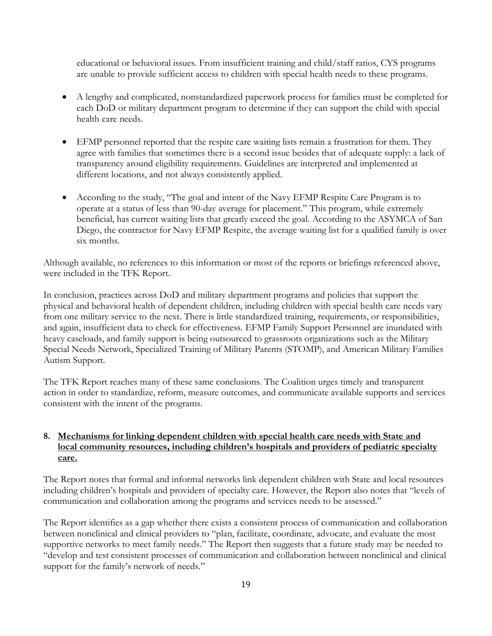educational or behavioral issues. From insufficient training and child/staff ratios, CYS programs are unable to provide sufficient access to children with special health needs to these programs.

- A lengthy and complicated, nonstandardized paperwork process for families must be completed for each DoD or military department program to determine if they can support the child with special health care needs.
- EFMP personnel reported that the respite care waiting lists remain a frustration for them. They agree with families that sometimes there is a second issue besides that of adequate supply: a lack of transparency around eligibility requirements. Guidelines are interpreted and implemented at different locations, and not always consistently applied.
- According to the study, "The goal and intent of the Navy EFMP Respite Care Program is to operate at a status of less than 90-day average for placement." This program, while extremely beneficial, has current waiting lists that greatly exceed the goal. According to the ASYMCA of San Diego, the contractor for Navy EFMP Respite, the average waiting list for a qualified family is over six months.

Although available, no references to this information or most of the reports or briefings referenced above, were included in the TFK Report.

In conclusion, practices across DoD and military department programs and policies that support the physical and behavioral health of dependent children, including children with special health care needs vary from one military service to the next. There is little standardized training, requirements, or responsibilities, and again, insufficient data to check for effectiveness. EFMP Family Support Personnel are inundated with heavy caseloads, and family support is being outsourced to grassroots organizations such as the Military Special Needs Network, Specialized Training of Military Parents (STOMP), and American Military Families Autism Support.

The TFK Report reaches many of these same conclusions. The Coalition urges timely and transparent action in order to standardize, reform, measure outcomes, and communicate available supports and services consistent with the intent of the programs.

# **8. Mechanisms for linking dependent children with special health care needs with State and local community resources, including children's hospitals and providers of pediatric specialty care.**

The Report notes that formal and informal networks link dependent children with State and local resources including children's hospitals and providers of specialty care. However, the Report also notes that "levels of communication and collaboration among the programs and services needs to be assessed."

The Report identifies as a gap whether there exists a consistent process of communication and collaboration between nonclinical and clinical providers to "plan, facilitate, coordinate, advocate, and evaluate the most supportive networks to meet family needs." The Report then suggests that a future study may be needed to "develop and test consistent processes of communication and collaboration between nonclinical and clinical support for the family's network of needs."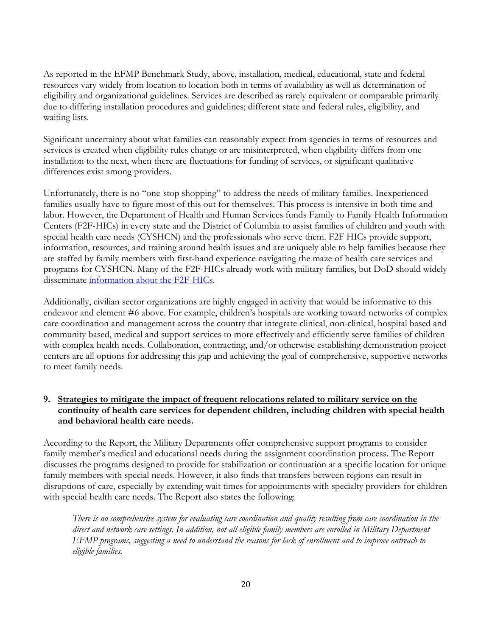As reported in the EFMP Benchmark Study, above, installation, medical, educational, state and federal resources vary widely from location to location both in terms of availability as well as determination of eligibility and organizational guidelines. Services are described as rarely equivalent or comparable primarily due to differing installation procedures and guidelines; different state and federal rules, eligibility, and waiting lists.

Significant uncertainty about what families can reasonably expect from agencies in terms of resources and services is created when eligibility rules change or are misinterpreted, when eligibility differs from one installation to the next, when there are fluctuations for funding of services, or significant qualitative differences exist among providers.

Unfortunately, there is no "one-stop shopping" to address the needs of military families. Inexperienced families usually have to figure most of this out for themselves. This process is intensive in both time and labor. However, the Department of Health and Human Services funds Family to Family Health Information Centers (F2F-HICs) in every state and the District of Columbia to assist families of children and youth with special health care needs (CYSHCN) and the professionals who serve them. F2F HICs provide support, information, resources, and training around health issues and are uniquely able to help families because they are staffed by family members with first-hand experience navigating the maze of health care services and programs for CYSHCN. Many of the F2F-HICs already work with military families, but DoD should widely disseminate [information about the F2F-HICs.](http://www.fv-ncfpp.org/f2fhic/)

Additionally, civilian sector organizations are highly engaged in activity that would be informative to this endeavor and element #6 above. For example, children's hospitals are working toward networks of complex care coordination and management across the country that integrate clinical, non-clinical, hospital based and community based, medical and support services to more effectively and efficiently serve families of children with complex health needs. Collaboration, contracting, and/or otherwise establishing demonstration project centers are all options for addressing this gap and achieving the goal of comprehensive, supportive networks to meet family needs.

# **9. Strategies to mitigate the impact of frequent relocations related to military service on the continuity of health care services for dependent children, including children with special health and behavioral health care needs.**

According to the Report, the Military Departments offer comprehensive support programs to consider family member's medical and educational needs during the assignment coordination process. The Report discusses the programs designed to provide for stabilization or continuation at a specific location for unique family members with special needs. However, it also finds that transfers between regions can result in disruptions of care, especially by extending wait times for appointments with specialty providers for children with special health care needs. The Report also states the following:

*There is no comprehensive system for evaluating care coordination and quality resulting from care coordination in the direct and network care settings. In addition, not all eligible family members are enrolled in Military Department EFMP programs, suggesting a need to understand the reasons for lack of enrollment and to improve outreach to eligible families*.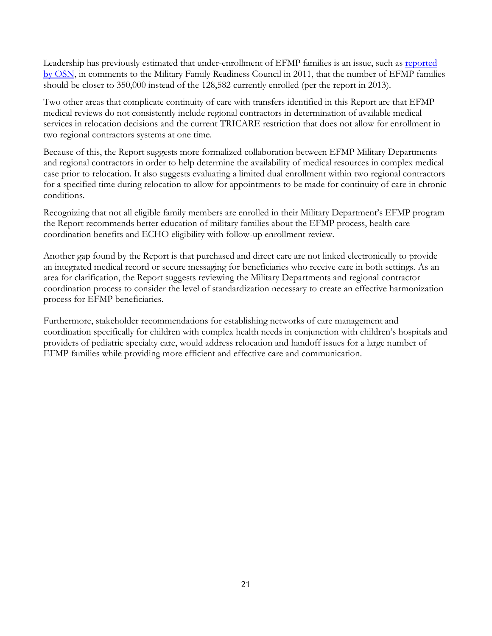Leadership has previously estimated that under-enrollment of EFMP families is an issue, such as [reported](http://www.militaryonesource.mil/12038/MOS/MFRC/Dec-2011-MFRC-signed-minutes.pdf) [by OSN,](http://www.militaryonesource.mil/12038/MOS/MFRC/Dec-2011-MFRC-signed-minutes.pdf) in comments to the Military Family Readiness Council in 2011, that the number of EFMP families should be closer to 350,000 instead of the 128,582 currently enrolled (per the report in 2013).

Two other areas that complicate continuity of care with transfers identified in this Report are that EFMP medical reviews do not consistently include regional contractors in determination of available medical services in relocation decisions and the current TRICARE restriction that does not allow for enrollment in two regional contractors systems at one time.

Because of this, the Report suggests more formalized collaboration between EFMP Military Departments and regional contractors in order to help determine the availability of medical resources in complex medical case prior to relocation. It also suggests evaluating a limited dual enrollment within two regional contractors for a specified time during relocation to allow for appointments to be made for continuity of care in chronic conditions.

Recognizing that not all eligible family members are enrolled in their Military Department's EFMP program the Report recommends better education of military families about the EFMP process, health care coordination benefits and ECHO eligibility with follow-up enrollment review.

Another gap found by the Report is that purchased and direct care are not linked electronically to provide an integrated medical record or secure messaging for beneficiaries who receive care in both settings. As an area for clarification, the Report suggests reviewing the Military Departments and regional contractor coordination process to consider the level of standardization necessary to create an effective harmonization process for EFMP beneficiaries.

Furthermore, stakeholder recommendations for establishing networks of care management and coordination specifically for children with complex health needs in conjunction with children's hospitals and providers of pediatric specialty care, would address relocation and handoff issues for a large number of EFMP families while providing more efficient and effective care and communication.